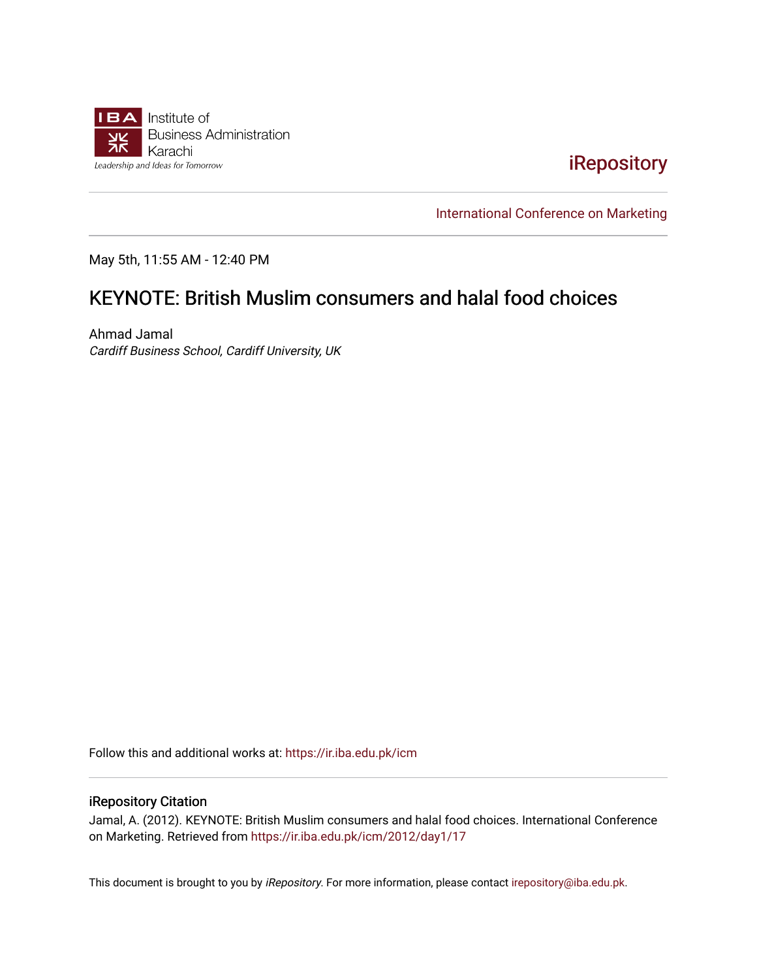

[iRepository](https://ir.iba.edu.pk/) 

[International Conference on Marketing](https://ir.iba.edu.pk/icm) 

May 5th, 11:55 AM - 12:40 PM

## KEYNOTE: British Muslim consumers and halal food choices

Ahmad Jamal Cardiff Business School, Cardiff University, UK

Follow this and additional works at: [https://ir.iba.edu.pk/icm](https://ir.iba.edu.pk/icm?utm_source=ir.iba.edu.pk%2Ficm%2F2012%2Fday1%2F17&utm_medium=PDF&utm_campaign=PDFCoverPages) 

## iRepository Citation

Jamal, A. (2012). KEYNOTE: British Muslim consumers and halal food choices. International Conference on Marketing. Retrieved from [https://ir.iba.edu.pk/icm/2012/day1/17](https://ir.iba.edu.pk/icm/2012/day1/17?utm_source=ir.iba.edu.pk%2Ficm%2F2012%2Fday1%2F17&utm_medium=PDF&utm_campaign=PDFCoverPages)

This document is brought to you by iRepository. For more information, please contact [irepository@iba.edu.pk](mailto:irepository@iba.edu.pk).